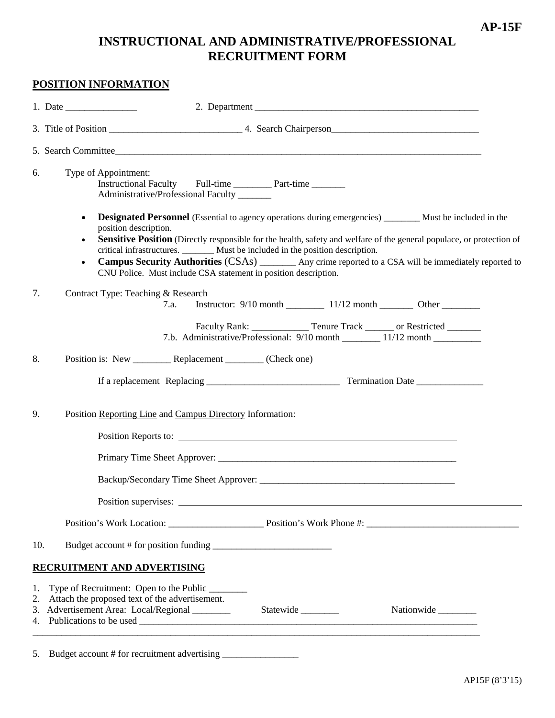# **INSTRUCTIONAL AND ADMINISTRATIVE/PROFESSIONAL RECRUITMENT FORM**

### **POSITION INFORMATION**

|     | 1. Date $\frac{1}{\sqrt{1-\frac{1}{2}} \cdot \frac{1}{2}}$                                                                                                                                                                                                                                                                                                                                                                                                                                                                                                     |
|-----|----------------------------------------------------------------------------------------------------------------------------------------------------------------------------------------------------------------------------------------------------------------------------------------------------------------------------------------------------------------------------------------------------------------------------------------------------------------------------------------------------------------------------------------------------------------|
|     |                                                                                                                                                                                                                                                                                                                                                                                                                                                                                                                                                                |
|     |                                                                                                                                                                                                                                                                                                                                                                                                                                                                                                                                                                |
| 6.  | Type of Appointment:<br>Instructional Faculty Full-time ___________ Part-time _________<br>Administrative/Professional Faculty _______                                                                                                                                                                                                                                                                                                                                                                                                                         |
|     | <b>Designated Personnel</b> (Essential to agency operations during emergencies) ________ Must be included in the<br>$\bullet$<br>position description.<br>Sensitive Position (Directly responsible for the health, safety and welfare of the general populace, or protection of<br>critical infrastructures. ________ Must be included in the position description.<br>Campus Security Authorities (CSAs) ________ Any crime reported to a CSA will be immediately reported to<br>$\bullet$<br>CNU Police. Must include CSA statement in position description. |
| 7.  | Contract Type: Teaching & Research<br>7.a.                                                                                                                                                                                                                                                                                                                                                                                                                                                                                                                     |
|     | Faculty Rank: _________________ Tenure Track ________ or Restricted ________<br>7.b. Administrative/Professional: 9/10 month _________ 11/12 month __________                                                                                                                                                                                                                                                                                                                                                                                                  |
| 8.  | Position is: New ____________ Replacement _________ (Check one)                                                                                                                                                                                                                                                                                                                                                                                                                                                                                                |
|     |                                                                                                                                                                                                                                                                                                                                                                                                                                                                                                                                                                |
| 9.  | Position Reporting Line and Campus Directory Information:                                                                                                                                                                                                                                                                                                                                                                                                                                                                                                      |
|     | Position Reports to:                                                                                                                                                                                                                                                                                                                                                                                                                                                                                                                                           |
|     |                                                                                                                                                                                                                                                                                                                                                                                                                                                                                                                                                                |
|     |                                                                                                                                                                                                                                                                                                                                                                                                                                                                                                                                                                |
|     | Position supervises:                                                                                                                                                                                                                                                                                                                                                                                                                                                                                                                                           |
|     |                                                                                                                                                                                                                                                                                                                                                                                                                                                                                                                                                                |
| 10. |                                                                                                                                                                                                                                                                                                                                                                                                                                                                                                                                                                |
|     | RECRUITMENT AND ADVERTISING                                                                                                                                                                                                                                                                                                                                                                                                                                                                                                                                    |
|     | 1. Type of Recruitment: Open to the Public _______<br>2. Attach the proposed text of the advertisement.<br>3. Advertisement Area: Local/Regional _______<br>Nationwide                                                                                                                                                                                                                                                                                                                                                                                         |
|     | <u> 1989 - John Stoff, deutscher Stoff, der Stoff, der Stoff, der Stoff, der Stoff, der Stoff, der Stoff, der Sto</u><br>5. Budget account # for recruitment advertising ________________________________                                                                                                                                                                                                                                                                                                                                                      |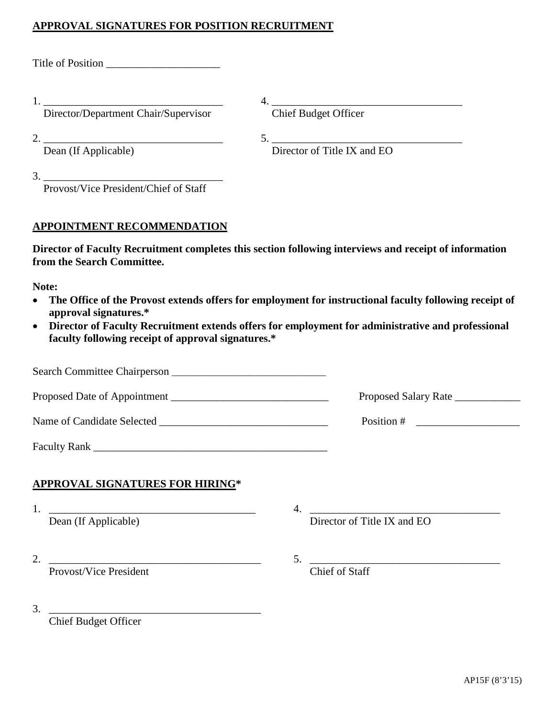# **APPROVAL SIGNATURES FOR POSITION RECRUITMENT**

Title of Position \_\_\_\_\_\_\_\_\_\_\_\_\_\_\_\_\_\_\_\_\_

1. Director/Department Chair/Supervisor

1. <u>Chief Budget Officer</u>

 $\frac{2}{\text{Dean (If Applied)}}$ 

5. Director of Title IX and EO

3. \_\_\_\_\_\_\_\_\_\_\_\_\_\_\_\_\_\_\_\_\_\_\_\_\_\_\_\_\_\_\_\_\_

Provost/Vice President/Chief of Staff

## **APPOINTMENT RECOMMENDATION**

**Director of Faculty Recruitment completes this section following interviews and receipt of information from the Search Committee.**

**Note:**

- **The Office of the Provost extends offers for employment for instructional faculty following receipt of approval signatures.\***
- **Director of Faculty Recruitment extends offers for employment for administrative and professional faculty following receipt of approval signatures.\***

|                                        | Proposed Salary Rate                                                                         |
|----------------------------------------|----------------------------------------------------------------------------------------------|
|                                        | Position # $\qquad \qquad$                                                                   |
|                                        |                                                                                              |
| <b>APPROVAL SIGNATURES FOR HIRING*</b> |                                                                                              |
| Dean (If Applicable)                   | <u> 1980 - Jan Barbara, martxa al II-lea (h. 1980).</u><br>4.<br>Director of Title IX and EO |
| Provost/Vice President                 | Chief of Staff                                                                               |
| 3.                                     |                                                                                              |

Chief Budget Officer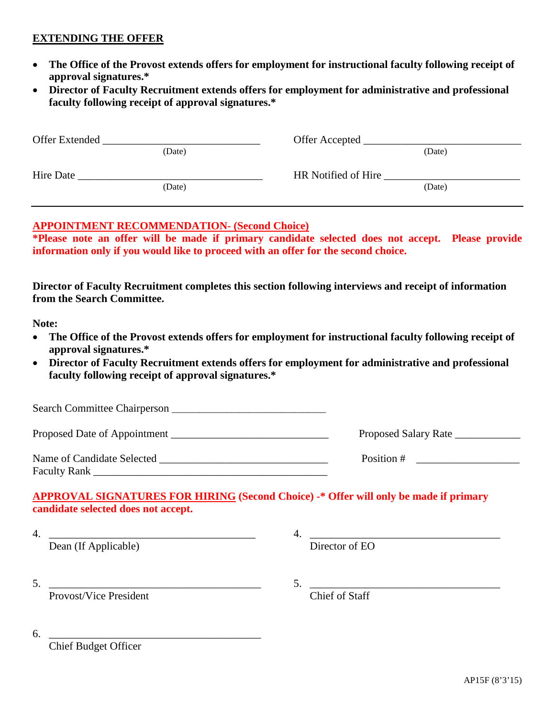#### **EXTENDING THE OFFER**

- **The Office of the Provost extends offers for employment for instructional faculty following receipt of approval signatures.\***
- **Director of Faculty Recruitment extends offers for employment for administrative and professional faculty following receipt of approval signatures.\***

| Offer Extended |        | Offer Accepted      |        |
|----------------|--------|---------------------|--------|
|                | (Date) |                     | (Date) |
| Hire Date      |        | HR Notified of Hire |        |
|                | (Date) |                     | (Date) |
|                |        |                     |        |

# **APPOINTMENT RECOMMENDATION- (Second Choice)**

**\*Please note an offer will be made if primary candidate selected does not accept. Please provide information only if you would like to proceed with an offer for the second choice.**

**Director of Faculty Recruitment completes this section following interviews and receipt of information from the Search Committee.**

**Note:**

- **The Office of the Provost extends offers for employment for instructional faculty following receipt of approval signatures.\***
- **Director of Faculty Recruitment extends offers for employment for administrative and professional faculty following receipt of approval signatures.\***

| Search Committee Chairperson               |                      |
|--------------------------------------------|----------------------|
| Proposed Date of Appointment               | Proposed Salary Rate |
| Name of Candidate Selected<br>Faculty Rank | Position #           |

#### **APPROVAL SIGNATURES FOR HIRING (Second Choice) -\* Offer will only be made if primary candidate selected does not accept.**

| . . |                      |        |
|-----|----------------------|--------|
|     | Dean (If Applicable) | nt Fil |

5.  $\frac{1}{\text{Provost/Vice President}}$  5.  $\frac{1}{\text{Chief of Staff}}$ Provost/Vice President

6. \_\_\_\_\_\_\_\_\_\_\_\_\_\_\_\_\_\_\_\_\_\_\_\_\_\_\_\_\_\_\_\_\_\_\_\_\_\_\_

Chief Budget Officer